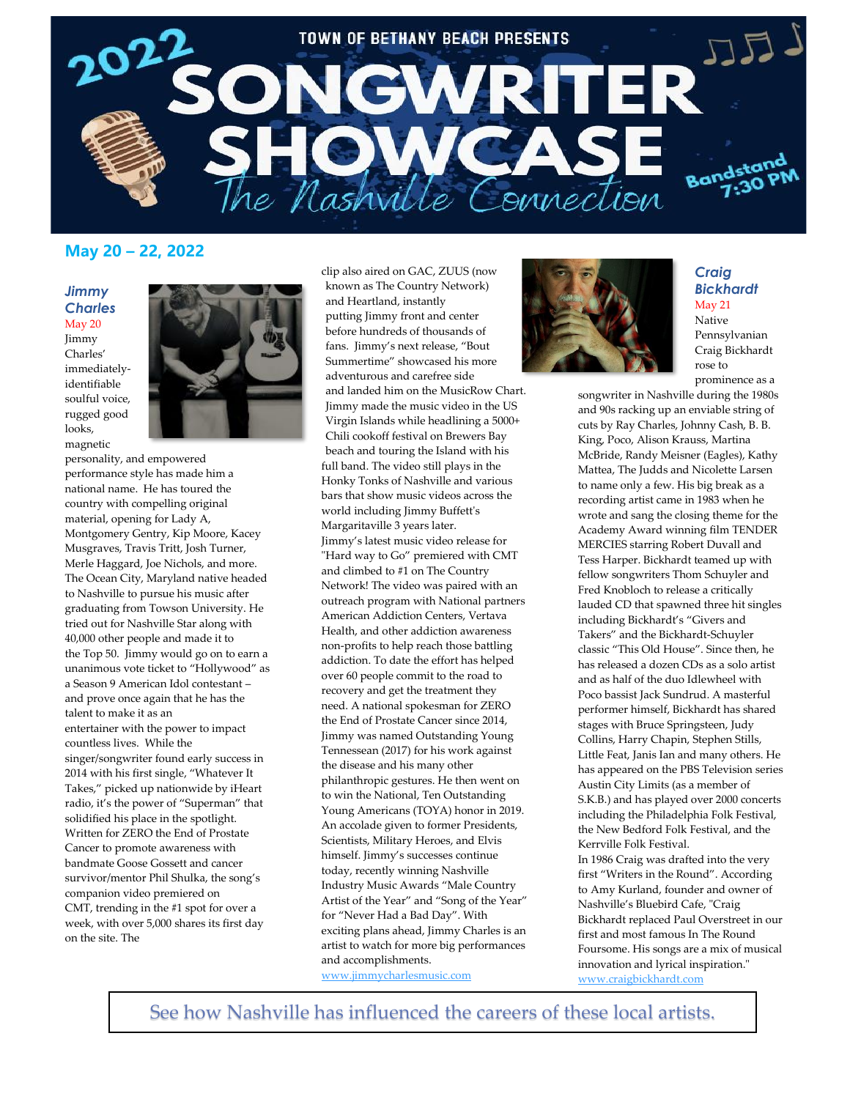

# **May 20 – 22, 2022**

#### *Jimmy Charles* May 20

Jimmy Charles' immediatelyidentifiable soulful voice, rugged good looks, magnetic



personality, and empowered performance style has made him a national name. He has toured the country with compelling original material, opening for Lady A, Montgomery Gentry, Kip Moore, Kacey Musgraves, Travis Tritt, Josh Turner, Merle Haggard, Joe Nichols, and more. The Ocean City, Maryland native headed to Nashville to pursue his music after graduating from Towson University. He tried out for Nashville Star along with 40,000 other people and made it to the Top 50. Jimmy would go on to earn a unanimous vote ticket to "Hollywood" as a Season 9 American Idol contestant – and prove once again that he has the talent to make it as an entertainer with the power to impact countless lives. While the singer/songwriter found early success in 2014 with his first single, "Whatever It Takes," picked up nationwide by iHeart radio, it's the power of "Superman" that solidified his place in the spotlight. Written for ZERO the End of Prostate Cancer to promote awareness with bandmate Goose Gossett and cancer survivor/mentor Phil Shulka, the song's companion video premiered on CMT, trending in the #1 spot for over a week, with over 5,000 shares its first day on the site. The

clip also aired on GAC, ZUUS (now known as The Country Network) and Heartland, instantly putting Jimmy front and center before hundreds of thousands of fans. Jimmy's next release, "Bout Summertime" showcased his more adventurous and carefree side and landed him on the MusicRow Chart. Jimmy made the music video in the US Virgin Islands while headlining a 5000+ Chili cookoff festival on Brewers Bay beach and touring the Island with his full band. The video still plays in the Honky Tonks of Nashville and various bars that show music videos across the world including Jimmy Buffett's Margaritaville 3 years later. Jimmy's latest music video release for "Hard way to Go" premiered with CMT and climbed to #1 on The Country Network! The video was paired with an outreach program with National partners American Addiction Centers, Vertava Health, and other addiction awareness non-profits to help reach those battling addiction. To date the effort has helped over 60 people commit to the road to recovery and get the treatment they need. A national spokesman for ZERO the End of Prostate Cancer since 2014, Jimmy was named Outstanding Young Tennessean (2017) for his work against the disease and his many other philanthropic gestures. He then went on to win the National, Ten Outstanding Young Americans (TOYA) honor in 2019. An accolade given to former Presidents, Scientists, Military Heroes, and Elvis himself. Jimmy's successes continue today, recently winning Nashville Industry Music Awards "Male Country Artist of the Year" and "Song of the Year" for "Never Had a Bad Day". With exciting plans ahead, Jimmy Charles is an artist to watch for more big performances and accomplishments.

[www.jimmycharlesmusic.com](http://www.jimmycharlesmusic.com/)



# *Craig Bickhardt* May 21 Native

Pennsylvanian Craig Bickhardt rose to prominence as a

songwriter in Nashville during the 1980s and 90s racking up an enviable string of cuts by Ray Charles, Johnny Cash, B. B. King, Poco, Alison Krauss, Martina McBride, Randy Meisner (Eagles), Kathy Mattea, The Judds and Nicolette Larsen to name only a few. His big break as a recording artist came in 1983 when he wrote and sang the closing theme for the Academy Award winning film TENDER MERCIES starring Robert Duvall and Tess Harper. Bickhardt teamed up with fellow songwriters Thom Schuyler and Fred Knobloch to release a critically lauded CD that spawned three hit singles including Bickhardt's "Givers and Takers" and the Bickhardt-Schuyler classic "This Old House". Since then, he has released a dozen CDs as a solo artist and as half of the duo Idlewheel with Poco bassist Jack Sundrud. A masterful performer himself, Bickhardt has shared stages with Bruce Springsteen, Judy Collins, Harry Chapin, Stephen Stills, Little Feat, Janis Ian and many others. He has appeared on the PBS Television series Austin City Limits (as a member of S.K.B.) and has played over 2000 concerts including the Philadelphia Folk Festival, the New Bedford Folk Festival, and the Kerrville Folk Festival. In 1986 Craig was drafted into the very first "Writers in the Round". According to Amy Kurland, founder and owner of Nashville's Bluebird Cafe, "Craig Bickhardt replaced Paul Overstreet in our first and most famous In The Round Foursome. His songs are a mix of musical innovation and lyrical inspiration." [www.craigbickhardt.com](http://www.craigbickhardt.com/)